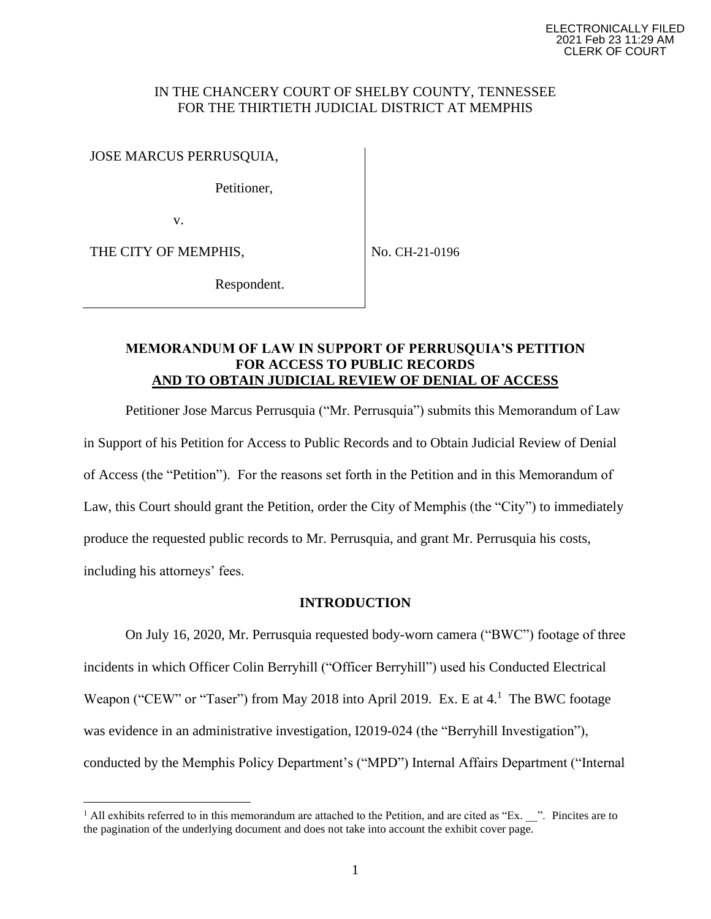### IN THE CHANCERY COURT OF SHELBY COUNTY, TENNESSEE FOR THE THIRTIETH JUDICIAL DISTRICT AT MEMPHIS

JOSE MARCUS PERRUSQUIA,

Petitioner,

v.

THE CITY OF MEMPHIS,

No. CH-21-0196

Respondent.

# **MEMORANDUM OF LAW IN SUPPORT OF PERRUSQUIA'S PETITION FOR ACCESS TO PUBLIC RECORDS AND TO OBTAIN JUDICIAL REVIEW OF DENIAL OF ACCESS**

Petitioner Jose Marcus Perrusquia ("Mr. Perrusquia") submits this Memorandum of Law in Support of his Petition for Access to Public Records and to Obtain Judicial Review of Denial of Access (the "Petition"). For the reasons set forth in the Petition and in this Memorandum of Law, this Court should grant the Petition, order the City of Memphis (the "City") to immediately produce the requested public records to Mr. Perrusquia, and grant Mr. Perrusquia his costs, including his attorneys' fees.

# **INTRODUCTION**

On July 16, 2020, Mr. Perrusquia requested body-worn camera ("BWC") footage of three incidents in which Officer Colin Berryhill ("Officer Berryhill") used his Conducted Electrical Weapon ("CEW" or "Taser") from May 2018 into April 2019. Ex. E at 4.<sup>1</sup> The BWC footage was evidence in an administrative investigation, I2019-024 (the "Berryhill Investigation"), conducted by the Memphis Policy Department's ("MPD") Internal Affairs Department ("Internal

 $1$  All exhibits referred to in this memorandum are attached to the Petition, and are cited as "Ex.  $\ldots$ ". Pincites are to the pagination of the underlying document and does not take into account the exhibit cover page.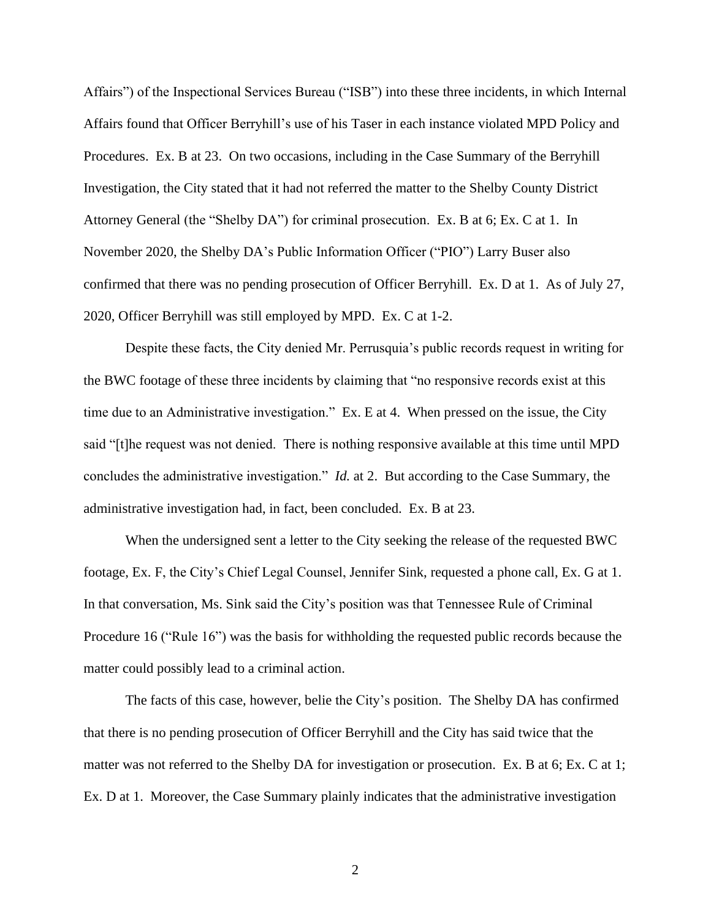Affairs") of the Inspectional Services Bureau ("ISB") into these three incidents, in which Internal Affairs found that Officer Berryhill's use of his Taser in each instance violated MPD Policy and Procedures. Ex. B at 23. On two occasions, including in the Case Summary of the Berryhill Investigation, the City stated that it had not referred the matter to the Shelby County District Attorney General (the "Shelby DA") for criminal prosecution. Ex. B at 6; Ex. C at 1. In November 2020, the Shelby DA's Public Information Officer ("PIO") Larry Buser also confirmed that there was no pending prosecution of Officer Berryhill. Ex. D at 1. As of July 27, 2020, Officer Berryhill was still employed by MPD. Ex. C at 1-2.

Despite these facts, the City denied Mr. Perrusquia's public records request in writing for the BWC footage of these three incidents by claiming that "no responsive records exist at this time due to an Administrative investigation." Ex. E at 4. When pressed on the issue, the City said "[t]he request was not denied. There is nothing responsive available at this time until MPD concludes the administrative investigation." *Id.* at 2. But according to the Case Summary, the administrative investigation had, in fact, been concluded. Ex. B at 23.

When the undersigned sent a letter to the City seeking the release of the requested BWC footage, Ex. F, the City's Chief Legal Counsel, Jennifer Sink, requested a phone call, Ex. G at 1. In that conversation, Ms. Sink said the City's position was that Tennessee Rule of Criminal Procedure 16 ("Rule 16") was the basis for withholding the requested public records because the matter could possibly lead to a criminal action.

The facts of this case, however, belie the City's position. The Shelby DA has confirmed that there is no pending prosecution of Officer Berryhill and the City has said twice that the matter was not referred to the Shelby DA for investigation or prosecution. Ex. B at 6; Ex. C at 1; Ex. D at 1. Moreover, the Case Summary plainly indicates that the administrative investigation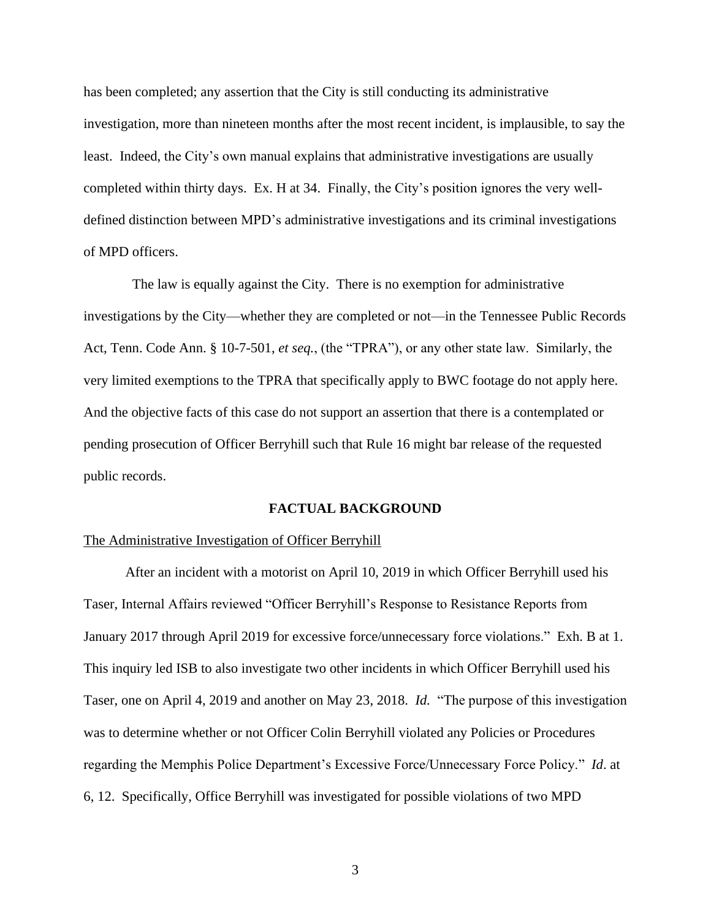has been completed; any assertion that the City is still conducting its administrative investigation, more than nineteen months after the most recent incident, is implausible, to say the least. Indeed, the City's own manual explains that administrative investigations are usually completed within thirty days. Ex. H at 34. Finally, the City's position ignores the very welldefined distinction between MPD's administrative investigations and its criminal investigations of MPD officers.

 The law is equally against the City. There is no exemption for administrative investigations by the City—whether they are completed or not—in the Tennessee Public Records Act, Tenn. Code Ann. § 10-7-501, *et seq.*, (the "TPRA"), or any other state law. Similarly, the very limited exemptions to the TPRA that specifically apply to BWC footage do not apply here. And the objective facts of this case do not support an assertion that there is a contemplated or pending prosecution of Officer Berryhill such that Rule 16 might bar release of the requested public records.

### **FACTUAL BACKGROUND**

### The Administrative Investigation of Officer Berryhill

After an incident with a motorist on April 10, 2019 in which Officer Berryhill used his Taser, Internal Affairs reviewed "Officer Berryhill's Response to Resistance Reports from January 2017 through April 2019 for excessive force/unnecessary force violations." Exh. B at 1. This inquiry led ISB to also investigate two other incidents in which Officer Berryhill used his Taser, one on April 4, 2019 and another on May 23, 2018. *Id.* "The purpose of this investigation was to determine whether or not Officer Colin Berryhill violated any Policies or Procedures regarding the Memphis Police Department's Excessive Force/Unnecessary Force Policy." *Id*. at 6, 12. Specifically, Office Berryhill was investigated for possible violations of two MPD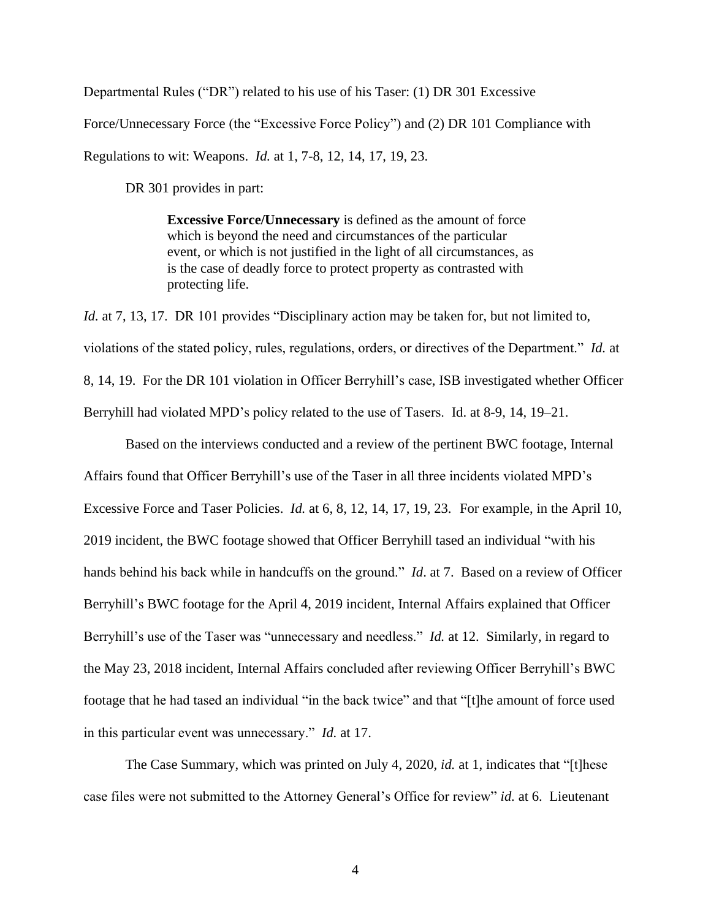Departmental Rules ("DR") related to his use of his Taser: (1) DR 301 Excessive

Force/Unnecessary Force (the "Excessive Force Policy") and (2) DR 101 Compliance with

Regulations to wit: Weapons. *Id.* at 1, 7-8, 12, 14, 17, 19, 23.

DR 301 provides in part:

**Excessive Force/Unnecessary** is defined as the amount of force which is beyond the need and circumstances of the particular event, or which is not justified in the light of all circumstances, as is the case of deadly force to protect property as contrasted with protecting life.

*Id.* at 7, 13, 17. DR 101 provides "Disciplinary action may be taken for, but not limited to, violations of the stated policy, rules, regulations, orders, or directives of the Department." *Id.* at 8, 14, 19. For the DR 101 violation in Officer Berryhill's case, ISB investigated whether Officer Berryhill had violated MPD's policy related to the use of Tasers. Id. at 8-9, 14, 19–21.

Based on the interviews conducted and a review of the pertinent BWC footage, Internal Affairs found that Officer Berryhill's use of the Taser in all three incidents violated MPD's Excessive Force and Taser Policies. *Id.* at 6, 8, 12, 14, 17, 19, 23. For example, in the April 10, 2019 incident, the BWC footage showed that Officer Berryhill tased an individual "with his hands behind his back while in handcuffs on the ground." *Id*. at 7. Based on a review of Officer Berryhill's BWC footage for the April 4, 2019 incident, Internal Affairs explained that Officer Berryhill's use of the Taser was "unnecessary and needless." *Id.* at 12. Similarly, in regard to the May 23, 2018 incident, Internal Affairs concluded after reviewing Officer Berryhill's BWC footage that he had tased an individual "in the back twice" and that "[t]he amount of force used in this particular event was unnecessary." *Id.* at 17.

The Case Summary, which was printed on July 4, 2020, *id.* at 1, indicates that "[t]hese case files were not submitted to the Attorney General's Office for review" *id.* at 6. Lieutenant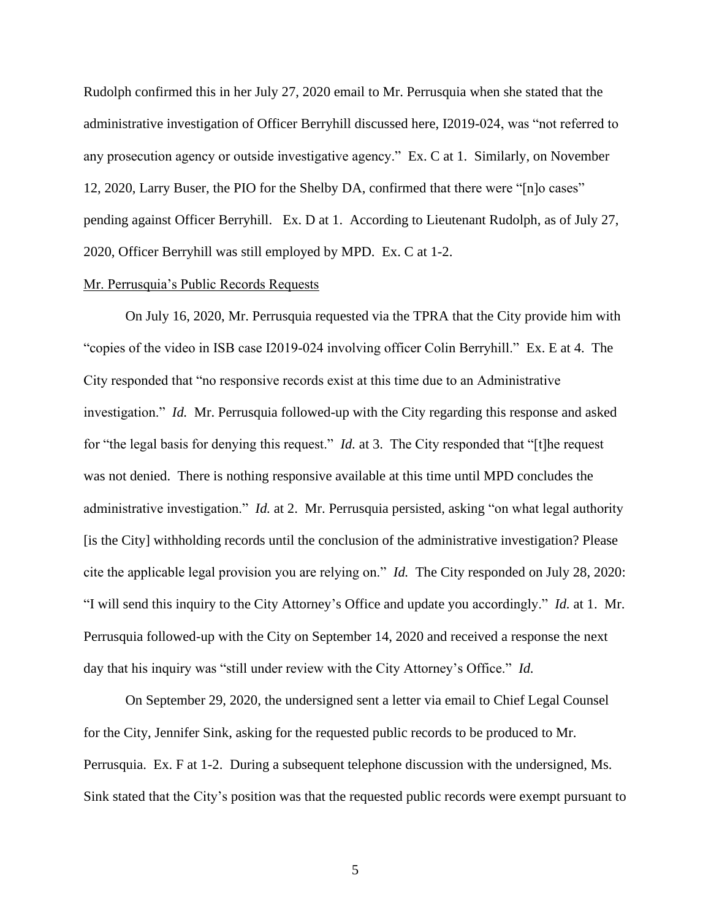Rudolph confirmed this in her July 27, 2020 email to Mr. Perrusquia when she stated that the administrative investigation of Officer Berryhill discussed here, I2019-024, was "not referred to any prosecution agency or outside investigative agency." Ex. C at 1. Similarly, on November 12, 2020, Larry Buser, the PIO for the Shelby DA, confirmed that there were "[n]o cases" pending against Officer Berryhill. Ex. D at 1. According to Lieutenant Rudolph, as of July 27, 2020, Officer Berryhill was still employed by MPD. Ex. C at 1-2.

### Mr. Perrusquia's Public Records Requests

On July 16, 2020, Mr. Perrusquia requested via the TPRA that the City provide him with "copies of the video in ISB case I2019-024 involving officer Colin Berryhill." Ex. E at 4. The City responded that "no responsive records exist at this time due to an Administrative investigation." *Id.* Mr. Perrusquia followed-up with the City regarding this response and asked for "the legal basis for denying this request." *Id.* at 3. The City responded that "[t]he request was not denied. There is nothing responsive available at this time until MPD concludes the administrative investigation." *Id.* at 2. Mr. Perrusquia persisted, asking "on what legal authority [is the City] withholding records until the conclusion of the administrative investigation? Please cite the applicable legal provision you are relying on." *Id.* The City responded on July 28, 2020: "I will send this inquiry to the City Attorney's Office and update you accordingly." *Id.* at 1. Mr. Perrusquia followed-up with the City on September 14, 2020 and received a response the next day that his inquiry was "still under review with the City Attorney's Office." *Id.*

On September 29, 2020, the undersigned sent a letter via email to Chief Legal Counsel for the City, Jennifer Sink, asking for the requested public records to be produced to Mr. Perrusquia. Ex. F at 1-2. During a subsequent telephone discussion with the undersigned, Ms. Sink stated that the City's position was that the requested public records were exempt pursuant to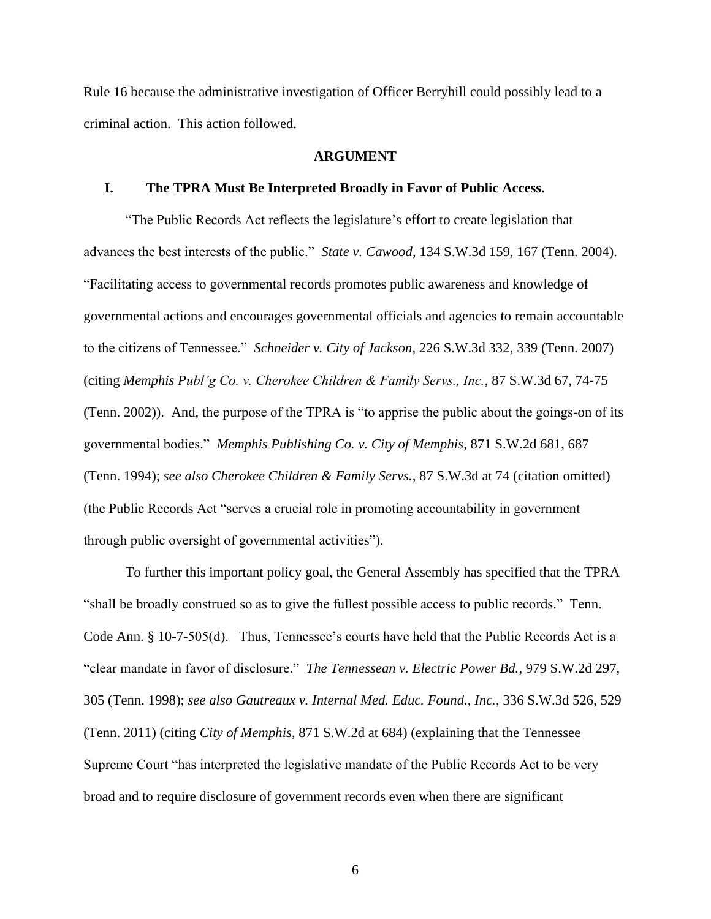Rule 16 because the administrative investigation of Officer Berryhill could possibly lead to a criminal action. This action followed.

### **ARGUMENT**

#### **I. The TPRA Must Be Interpreted Broadly in Favor of Public Access.**

"The Public Records Act reflects the legislature's effort to create legislation that advances the best interests of the public." *State v. Cawood*, 134 S.W.3d 159, 167 (Tenn. 2004). "Facilitating access to governmental records promotes public awareness and knowledge of governmental actions and encourages governmental officials and agencies to remain accountable to the citizens of Tennessee." *Schneider v. City of Jackson*, 226 S.W.3d 332, 339 (Tenn. 2007) (citing *Memphis Publ'g Co. v. Cherokee Children & Family Servs., Inc.*, 87 S.W.3d 67, 74-75 (Tenn. 2002)). And, the purpose of the TPRA is "to apprise the public about the goings-on of its governmental bodies." *Memphis Publishing Co. v. City of Memphis*, 871 S.W.2d 681, 687 (Tenn. 1994); *see also Cherokee Children & Family Servs.*, 87 S.W.3d at 74 (citation omitted) (the Public Records Act "serves a crucial role in promoting accountability in government through public oversight of governmental activities").

To further this important policy goal, the General Assembly has specified that the TPRA "shall be broadly construed so as to give the fullest possible access to public records." Tenn. Code Ann. § 10-7-505(d). Thus, Tennessee's courts have held that the Public Records Act is a "clear mandate in favor of disclosure." *The Tennessean v. Electric Power Bd.*, 979 S.W.2d 297, 305 (Tenn. 1998); *see also Gautreaux v. Internal Med. Educ. Found., Inc.*, 336 S.W.3d 526, 529 (Tenn. 2011) (citing *City of Memphis*, 871 S.W.2d at 684) (explaining that the Tennessee Supreme Court "has interpreted the legislative mandate of the Public Records Act to be very broad and to require disclosure of government records even when there are significant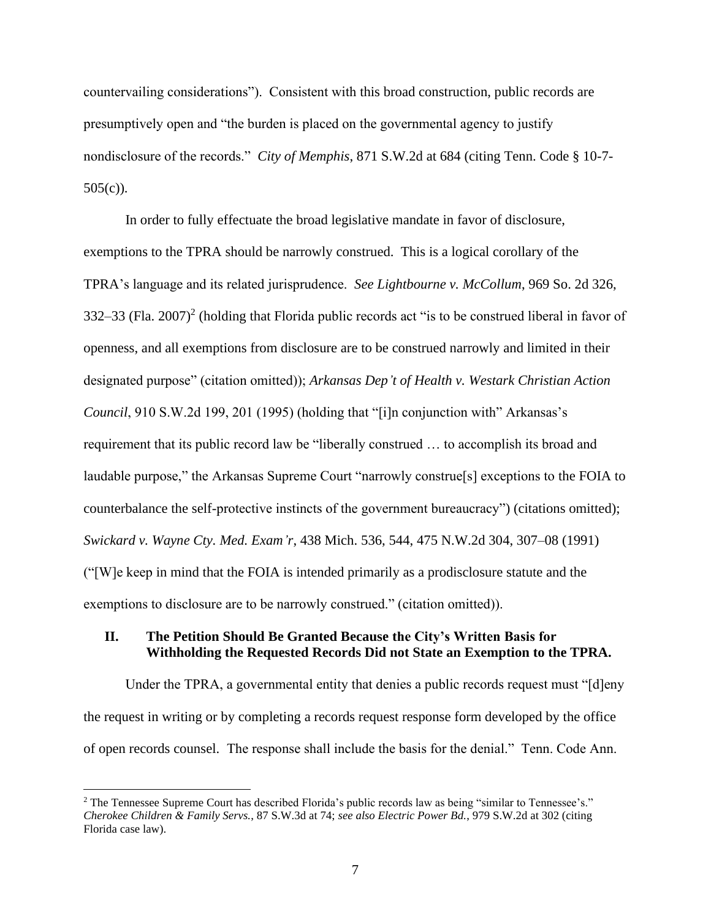countervailing considerations"). Consistent with this broad construction, public records are presumptively open and "the burden is placed on the governmental agency to justify nondisclosure of the records." *City of Memphis*, 871 S.W.2d at 684 (citing Tenn. Code § 10-7- 505(c)).

In order to fully effectuate the broad legislative mandate in favor of disclosure, exemptions to the TPRA should be narrowly construed. This is a logical corollary of the TPRA's language and its related jurisprudence. *See Lightbourne v. McCollum*, 969 So. 2d 326, 332–33 (Fla. 2007)<sup>2</sup> (holding that Florida public records act "is to be construed liberal in favor of openness, and all exemptions from disclosure are to be construed narrowly and limited in their designated purpose" (citation omitted)); *Arkansas Dep't of Health v. Westark Christian Action Council*, 910 S.W.2d 199, 201 (1995) (holding that "[i]n conjunction with" Arkansas's requirement that its public record law be "liberally construed … to accomplish its broad and laudable purpose," the Arkansas Supreme Court "narrowly construe[s] exceptions to the FOIA to counterbalance the self-protective instincts of the government bureaucracy") (citations omitted); *Swickard v. Wayne Cty. Med. Exam'r*, 438 Mich. 536, 544, 475 N.W.2d 304, 307–08 (1991) ("[W]e keep in mind that the FOIA is intended primarily as a prodisclosure statute and the exemptions to disclosure are to be narrowly construed." (citation omitted)).

### **II. The Petition Should Be Granted Because the City's Written Basis for Withholding the Requested Records Did not State an Exemption to the TPRA.**

Under the TPRA, a governmental entity that denies a public records request must "[d]eny the request in writing or by completing a records request response form developed by the office of open records counsel. The response shall include the basis for the denial." Tenn. Code Ann.

<sup>2</sup> The Tennessee Supreme Court has described Florida's public records law as being "similar to Tennessee's." *Cherokee Children & Family Servs.*, 87 S.W.3d at 74; *see also Electric Power Bd.*, 979 S.W.2d at 302 (citing Florida case law).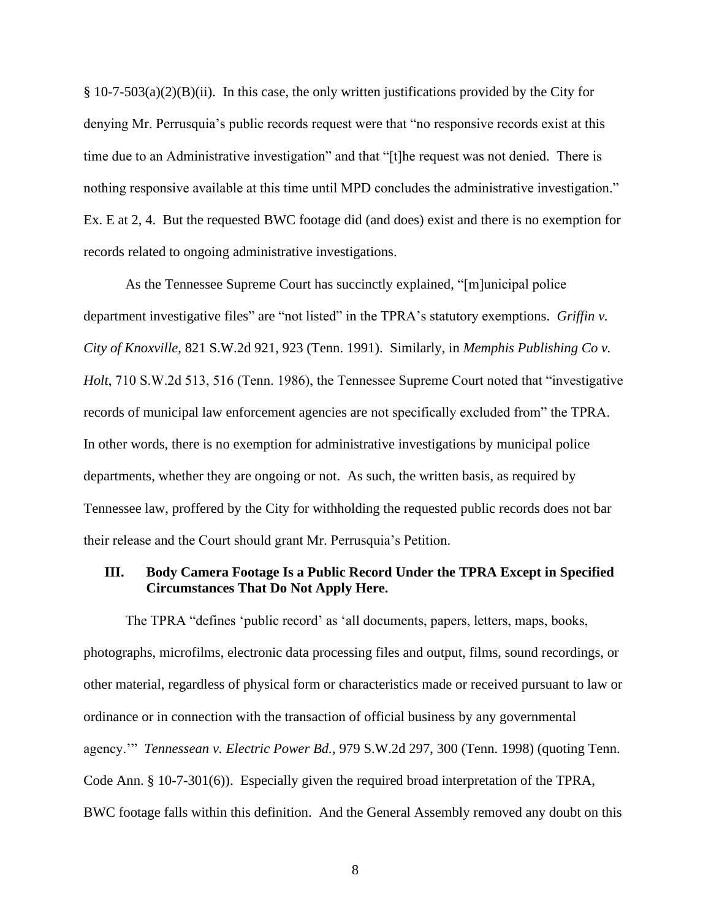§ 10-7-503(a)(2)(B)(ii). In this case, the only written justifications provided by the City for denying Mr. Perrusquia's public records request were that "no responsive records exist at this time due to an Administrative investigation" and that "[t]he request was not denied. There is nothing responsive available at this time until MPD concludes the administrative investigation." Ex. E at 2, 4. But the requested BWC footage did (and does) exist and there is no exemption for records related to ongoing administrative investigations.

As the Tennessee Supreme Court has succinctly explained, "[m]unicipal police department investigative files" are "not listed" in the TPRA's statutory exemptions. *Griffin v. City of Knoxville*, 821 S.W.2d 921, 923 (Tenn. 1991). Similarly, in *Memphis Publishing Co v. Holt*, 710 S.W.2d 513, 516 (Tenn. 1986), the Tennessee Supreme Court noted that "investigative records of municipal law enforcement agencies are not specifically excluded from" the TPRA. In other words, there is no exemption for administrative investigations by municipal police departments, whether they are ongoing or not. As such, the written basis, as required by Tennessee law, proffered by the City for withholding the requested public records does not bar their release and the Court should grant Mr. Perrusquia's Petition.

# **III. Body Camera Footage Is a Public Record Under the TPRA Except in Specified Circumstances That Do Not Apply Here.**

The TPRA "defines 'public record' as 'all documents, papers, letters, maps, books, photographs, microfilms, electronic data processing files and output, films, sound recordings, or other material, regardless of physical form or characteristics made or received pursuant to law or ordinance or in connection with the transaction of official business by any governmental agency.'" *Tennessean v. Electric Power Bd.*, 979 S.W.2d 297, 300 (Tenn. 1998) (quoting Tenn. Code Ann. § 10-7-301(6)). Especially given the required broad interpretation of the TPRA, BWC footage falls within this definition. And the General Assembly removed any doubt on this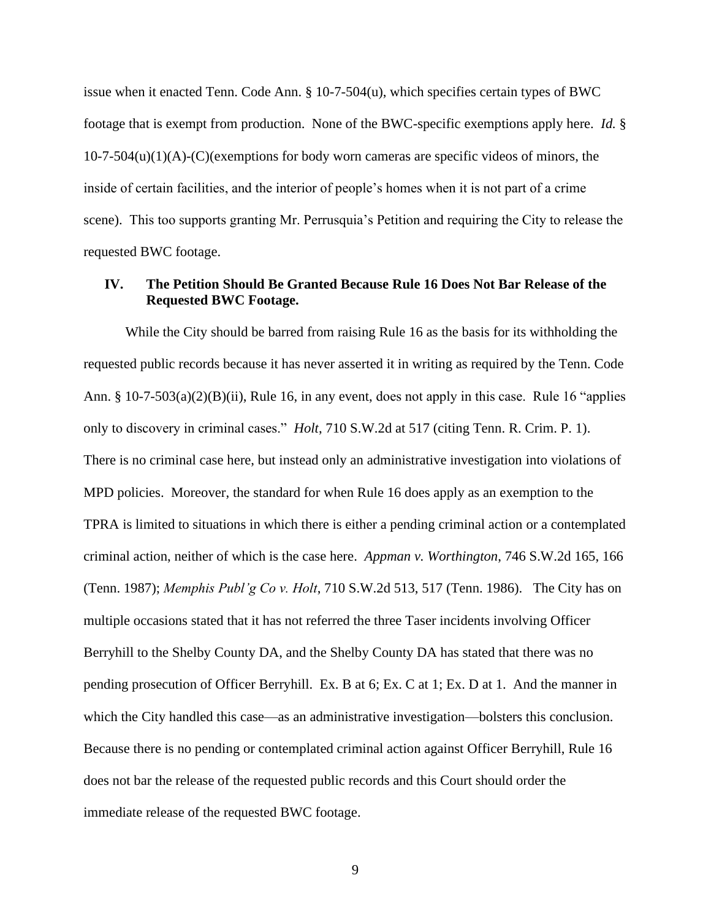issue when it enacted Tenn. Code Ann. § 10-7-504(u), which specifies certain types of BWC footage that is exempt from production. None of the BWC-specific exemptions apply here. *Id.* §  $10-7-504(u)(1)(A)$ -(C)(exemptions for body worn cameras are specific videos of minors, the inside of certain facilities, and the interior of people's homes when it is not part of a crime scene). This too supports granting Mr. Perrusquia's Petition and requiring the City to release the requested BWC footage.

# **IV. The Petition Should Be Granted Because Rule 16 Does Not Bar Release of the Requested BWC Footage.**

While the City should be barred from raising Rule 16 as the basis for its withholding the requested public records because it has never asserted it in writing as required by the Tenn. Code Ann. § 10-7-503(a)(2)(B)(ii), Rule 16, in any event, does not apply in this case. Rule 16 "applies only to discovery in criminal cases." *Holt*, 710 S.W.2d at 517 (citing Tenn. R. Crim. P. 1). There is no criminal case here, but instead only an administrative investigation into violations of MPD policies. Moreover, the standard for when Rule 16 does apply as an exemption to the TPRA is limited to situations in which there is either a pending criminal action or a contemplated criminal action, neither of which is the case here. *Appman v. Worthington*, 746 S.W.2d 165, 166 (Tenn. 1987); *Memphis Publ'g Co v. Holt*, 710 S.W.2d 513, 517 (Tenn. 1986). The City has on multiple occasions stated that it has not referred the three Taser incidents involving Officer Berryhill to the Shelby County DA, and the Shelby County DA has stated that there was no pending prosecution of Officer Berryhill. Ex. B at 6; Ex. C at 1; Ex. D at 1. And the manner in which the City handled this case—as an administrative investigation—bolsters this conclusion. Because there is no pending or contemplated criminal action against Officer Berryhill, Rule 16 does not bar the release of the requested public records and this Court should order the immediate release of the requested BWC footage.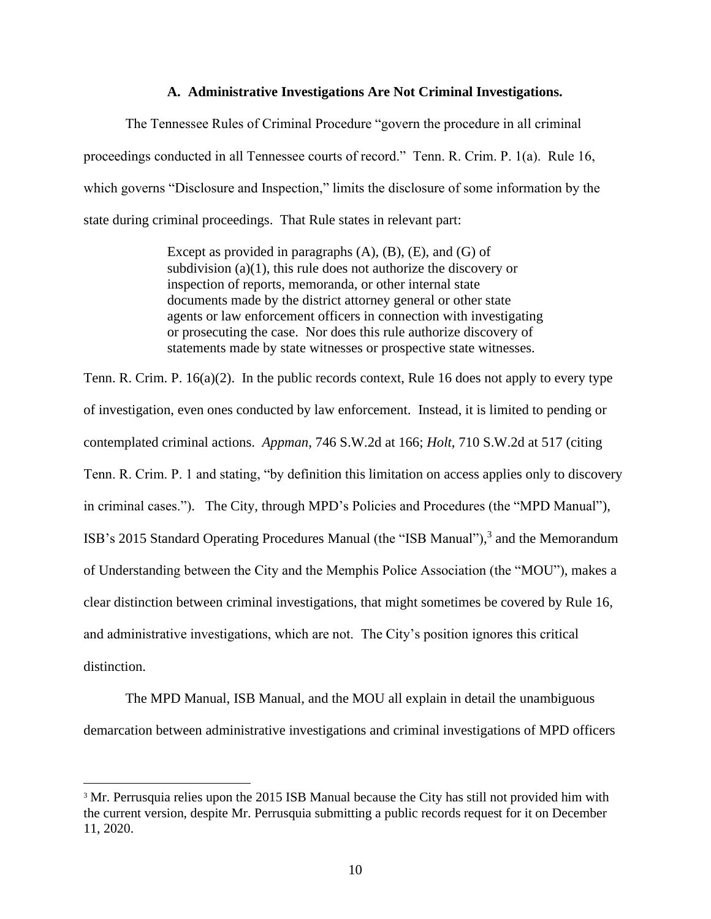### **A. Administrative Investigations Are Not Criminal Investigations.**

The Tennessee Rules of Criminal Procedure "govern the procedure in all criminal proceedings conducted in all Tennessee courts of record." Tenn. R. Crim. P. 1(a). Rule 16, which governs "Disclosure and Inspection," limits the disclosure of some information by the state during criminal proceedings. That Rule states in relevant part:

> Except as provided in paragraphs  $(A)$ ,  $(B)$ ,  $(E)$ , and  $(G)$  of subdivision (a)(1), this rule does not authorize the discovery or inspection of reports, memoranda, or other internal state documents made by the district attorney general or other state agents or law enforcement officers in connection with investigating or prosecuting the case. Nor does this rule authorize discovery of statements made by state witnesses or prospective state witnesses.

Tenn. R. Crim. P. 16(a)(2). In the public records context, Rule 16 does not apply to every type of investigation, even ones conducted by law enforcement. Instead, it is limited to pending or contemplated criminal actions. *Appman*, 746 S.W.2d at 166; *Holt*, 710 S.W.2d at 517 (citing Tenn. R. Crim. P. 1 and stating, "by definition this limitation on access applies only to discovery in criminal cases."). The City, through MPD's Policies and Procedures (the "MPD Manual"), ISB's 2015 Standard Operating Procedures Manual (the "ISB Manual"),<sup>3</sup> and the Memorandum of Understanding between the City and the Memphis Police Association (the "MOU"), makes a clear distinction between criminal investigations, that might sometimes be covered by Rule 16, and administrative investigations, which are not. The City's position ignores this critical distinction.

The MPD Manual, ISB Manual, and the MOU all explain in detail the unambiguous demarcation between administrative investigations and criminal investigations of MPD officers

<sup>&</sup>lt;sup>3</sup> Mr. Perrusquia relies upon the 2015 ISB Manual because the City has still not provided him with the current version, despite Mr. Perrusquia submitting a public records request for it on December 11, 2020.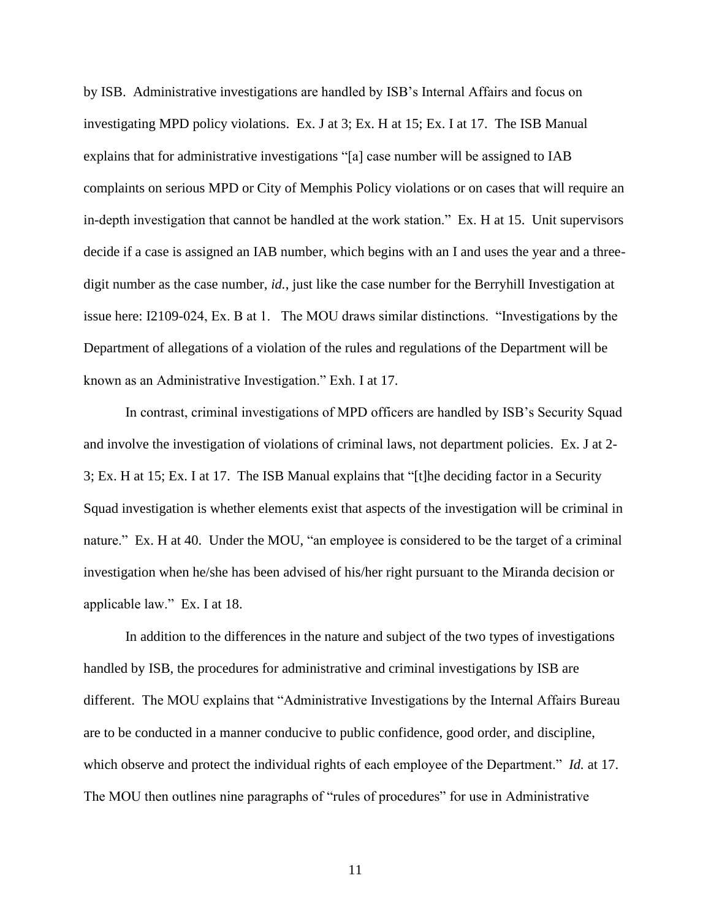by ISB. Administrative investigations are handled by ISB's Internal Affairs and focus on investigating MPD policy violations. Ex. J at 3; Ex. H at 15; Ex. I at 17. The ISB Manual explains that for administrative investigations "[a] case number will be assigned to IAB complaints on serious MPD or City of Memphis Policy violations or on cases that will require an in-depth investigation that cannot be handled at the work station." Ex. H at 15. Unit supervisors decide if a case is assigned an IAB number, which begins with an I and uses the year and a threedigit number as the case number, *id.*, just like the case number for the Berryhill Investigation at issue here: I2109-024, Ex. B at 1. The MOU draws similar distinctions. "Investigations by the Department of allegations of a violation of the rules and regulations of the Department will be known as an Administrative Investigation." Exh. I at 17.

In contrast, criminal investigations of MPD officers are handled by ISB's Security Squad and involve the investigation of violations of criminal laws, not department policies. Ex. J at 2- 3; Ex. H at 15; Ex. I at 17. The ISB Manual explains that "[t]he deciding factor in a Security Squad investigation is whether elements exist that aspects of the investigation will be criminal in nature." Ex. H at 40. Under the MOU, "an employee is considered to be the target of a criminal investigation when he/she has been advised of his/her right pursuant to the Miranda decision or applicable law." Ex. I at 18.

In addition to the differences in the nature and subject of the two types of investigations handled by ISB, the procedures for administrative and criminal investigations by ISB are different. The MOU explains that "Administrative Investigations by the Internal Affairs Bureau are to be conducted in a manner conducive to public confidence, good order, and discipline, which observe and protect the individual rights of each employee of the Department." *Id.* at 17. The MOU then outlines nine paragraphs of "rules of procedures" for use in Administrative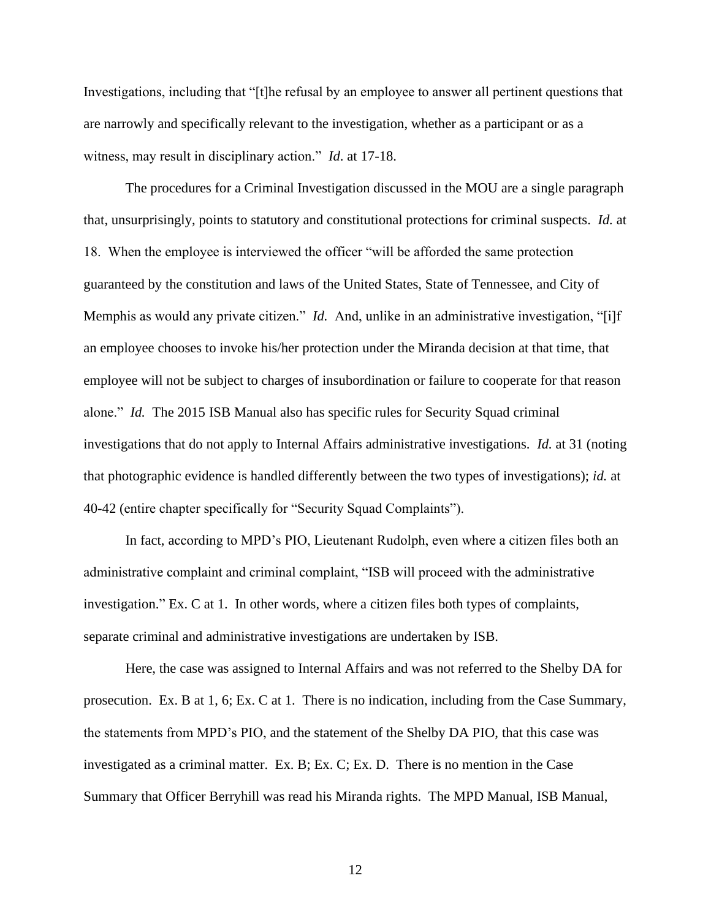Investigations, including that "[t]he refusal by an employee to answer all pertinent questions that are narrowly and specifically relevant to the investigation, whether as a participant or as a witness, may result in disciplinary action." *Id*. at 17-18.

The procedures for a Criminal Investigation discussed in the MOU are a single paragraph that, unsurprisingly, points to statutory and constitutional protections for criminal suspects. *Id.* at 18. When the employee is interviewed the officer "will be afforded the same protection guaranteed by the constitution and laws of the United States, State of Tennessee, and City of Memphis as would any private citizen." *Id.* And, unlike in an administrative investigation, "[i]f an employee chooses to invoke his/her protection under the Miranda decision at that time, that employee will not be subject to charges of insubordination or failure to cooperate for that reason alone." *Id.* The 2015 ISB Manual also has specific rules for Security Squad criminal investigations that do not apply to Internal Affairs administrative investigations. *Id.* at 31 (noting that photographic evidence is handled differently between the two types of investigations); *id.* at 40-42 (entire chapter specifically for "Security Squad Complaints").

In fact, according to MPD's PIO, Lieutenant Rudolph, even where a citizen files both an administrative complaint and criminal complaint, "ISB will proceed with the administrative investigation." Ex. C at 1. In other words, where a citizen files both types of complaints, separate criminal and administrative investigations are undertaken by ISB.

Here, the case was assigned to Internal Affairs and was not referred to the Shelby DA for prosecution. Ex. B at 1, 6; Ex. C at 1. There is no indication, including from the Case Summary, the statements from MPD's PIO, and the statement of the Shelby DA PIO, that this case was investigated as a criminal matter. Ex. B; Ex. C; Ex. D. There is no mention in the Case Summary that Officer Berryhill was read his Miranda rights. The MPD Manual, ISB Manual,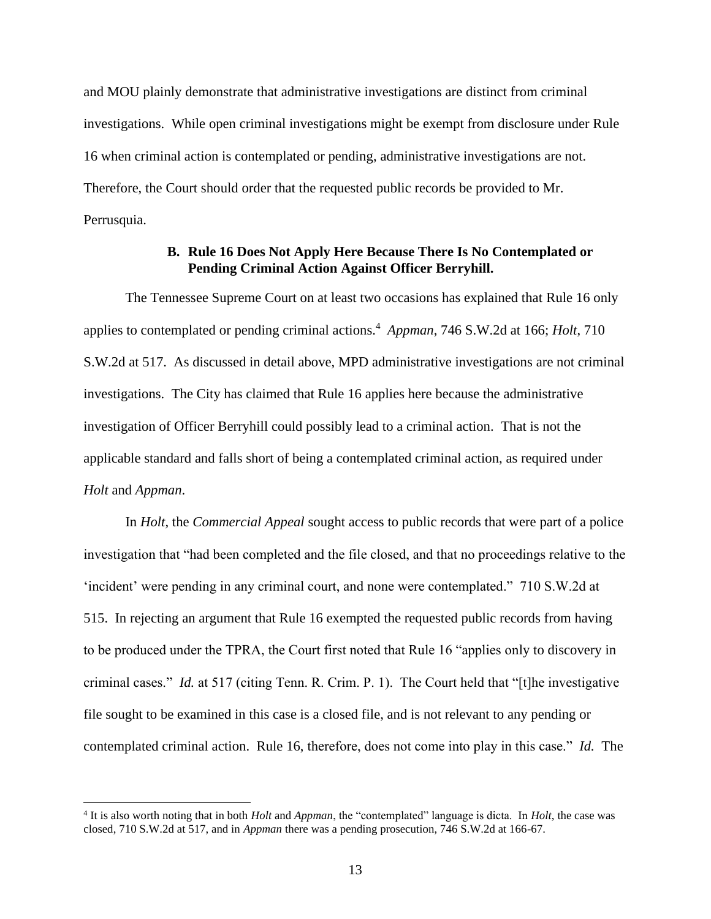and MOU plainly demonstrate that administrative investigations are distinct from criminal investigations. While open criminal investigations might be exempt from disclosure under Rule 16 when criminal action is contemplated or pending, administrative investigations are not. Therefore, the Court should order that the requested public records be provided to Mr. Perrusquia.

# **B. Rule 16 Does Not Apply Here Because There Is No Contemplated or Pending Criminal Action Against Officer Berryhill.**

The Tennessee Supreme Court on at least two occasions has explained that Rule 16 only applies to contemplated or pending criminal actions.<sup>4</sup> Appman, 746 S.W.2d at 166; *Holt*, 710 S.W.2d at 517. As discussed in detail above, MPD administrative investigations are not criminal investigations. The City has claimed that Rule 16 applies here because the administrative investigation of Officer Berryhill could possibly lead to a criminal action. That is not the applicable standard and falls short of being a contemplated criminal action, as required under *Holt* and *Appman*.

In *Holt*, the *Commercial Appeal* sought access to public records that were part of a police investigation that "had been completed and the file closed, and that no proceedings relative to the 'incident' were pending in any criminal court, and none were contemplated." 710 S.W.2d at 515. In rejecting an argument that Rule 16 exempted the requested public records from having to be produced under the TPRA, the Court first noted that Rule 16 "applies only to discovery in criminal cases." *Id.* at 517 (citing Tenn. R. Crim. P. 1). The Court held that "[t]he investigative file sought to be examined in this case is a closed file, and is not relevant to any pending or contemplated criminal action. Rule 16, therefore, does not come into play in this case." *Id.* The

<sup>4</sup> It is also worth noting that in both *Holt* and *Appman*, the "contemplated" language is dicta. In *Holt*, the case was closed, 710 S.W.2d at 517, and in *Appman* there was a pending prosecution, 746 S.W.2d at 166-67.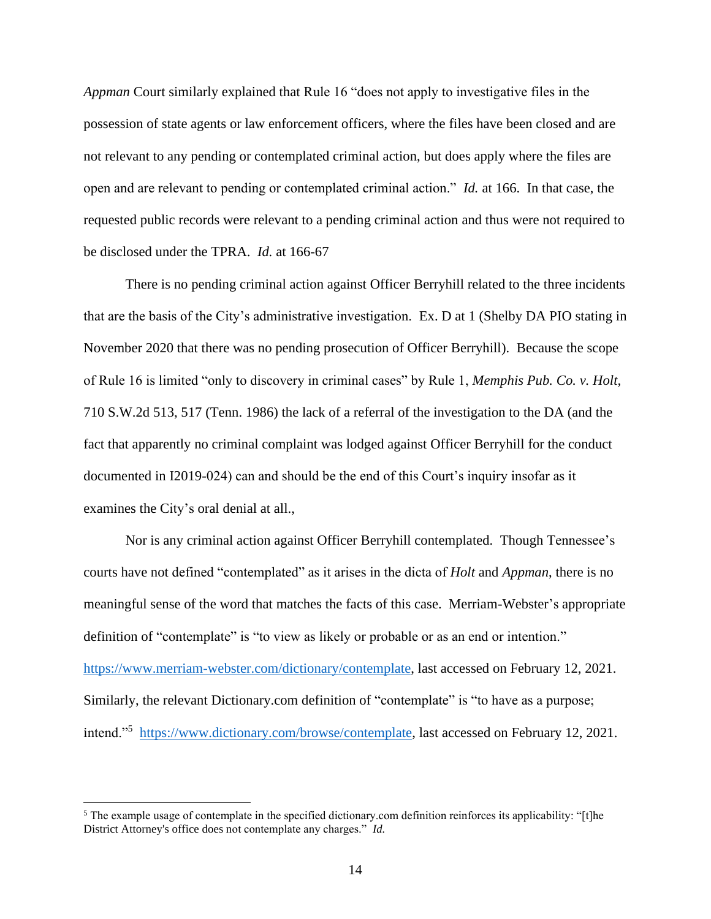*Appman* Court similarly explained that Rule 16 "does not apply to investigative files in the possession of state agents or law enforcement officers, where the files have been closed and are not relevant to any pending or contemplated criminal action, but does apply where the files are open and are relevant to pending or contemplated criminal action." *Id.* at 166. In that case, the requested public records were relevant to a pending criminal action and thus were not required to be disclosed under the TPRA. *Id.* at 166-67

There is no pending criminal action against Officer Berryhill related to the three incidents that are the basis of the City's administrative investigation. Ex. D at 1 (Shelby DA PIO stating in November 2020 that there was no pending prosecution of Officer Berryhill). Because the scope of Rule 16 is limited "only to discovery in criminal cases" by Rule 1, *Memphis Pub. Co. v. Holt,* 710 S.W.2d 513, 517 (Tenn. 1986) the lack of a referral of the investigation to the DA (and the fact that apparently no criminal complaint was lodged against Officer Berryhill for the conduct documented in I2019-024) can and should be the end of this Court's inquiry insofar as it examines the City's oral denial at all.,

Nor is any criminal action against Officer Berryhill contemplated. Though Tennessee's courts have not defined "contemplated" as it arises in the dicta of *Holt* and *Appman*, there is no meaningful sense of the word that matches the facts of this case. Merriam-Webster's appropriate definition of "contemplate" is "to view as likely or probable or as an end or intention." https://www.merriam-webster.com/dictionary/contemplate, last accessed on February 12, 2021. Similarly, the relevant Dictionary.com definition of "contemplate" is "to have as a purpose; intend."<sup>5</sup> https://www.dictionary.com/browse/contemplate, last accessed on February 12, 2021.

<sup>&</sup>lt;sup>5</sup> The example usage of contemplate in the specified dictionary.com definition reinforces its applicability: "[t]he District Attorney's office does not contemplate any charges." *Id.*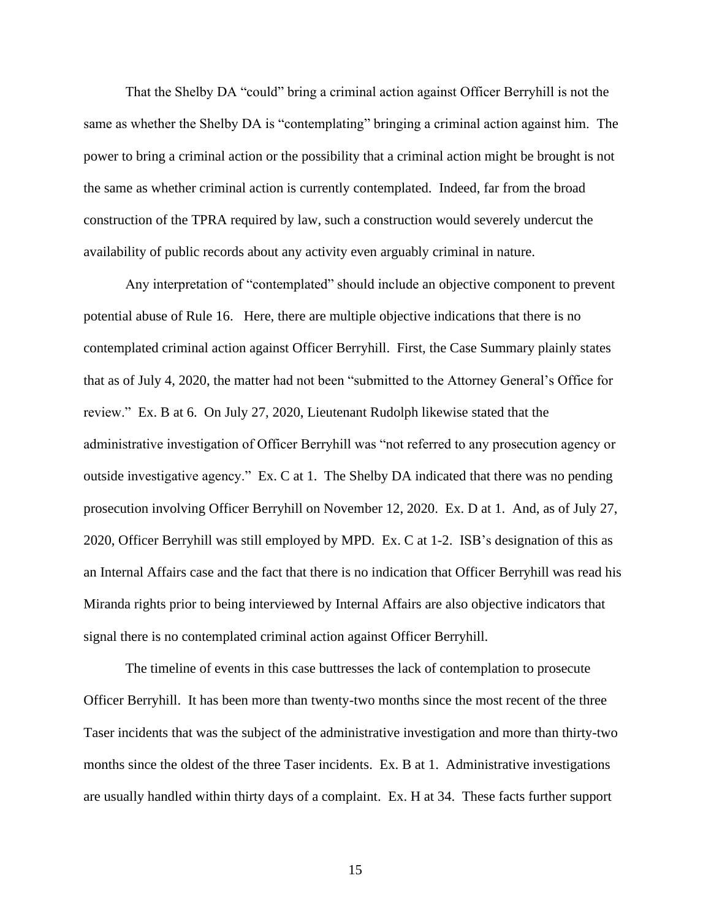That the Shelby DA "could" bring a criminal action against Officer Berryhill is not the same as whether the Shelby DA is "contemplating" bringing a criminal action against him. The power to bring a criminal action or the possibility that a criminal action might be brought is not the same as whether criminal action is currently contemplated. Indeed, far from the broad construction of the TPRA required by law, such a construction would severely undercut the availability of public records about any activity even arguably criminal in nature.

Any interpretation of "contemplated" should include an objective component to prevent potential abuse of Rule 16. Here, there are multiple objective indications that there is no contemplated criminal action against Officer Berryhill. First, the Case Summary plainly states that as of July 4, 2020, the matter had not been "submitted to the Attorney General's Office for review." Ex. B at 6. On July 27, 2020, Lieutenant Rudolph likewise stated that the administrative investigation of Officer Berryhill was "not referred to any prosecution agency or outside investigative agency." Ex. C at 1. The Shelby DA indicated that there was no pending prosecution involving Officer Berryhill on November 12, 2020. Ex. D at 1. And, as of July 27, 2020, Officer Berryhill was still employed by MPD. Ex. C at 1-2. ISB's designation of this as an Internal Affairs case and the fact that there is no indication that Officer Berryhill was read his Miranda rights prior to being interviewed by Internal Affairs are also objective indicators that signal there is no contemplated criminal action against Officer Berryhill.

The timeline of events in this case buttresses the lack of contemplation to prosecute Officer Berryhill. It has been more than twenty-two months since the most recent of the three Taser incidents that was the subject of the administrative investigation and more than thirty-two months since the oldest of the three Taser incidents. Ex. B at 1. Administrative investigations are usually handled within thirty days of a complaint. Ex. H at 34. These facts further support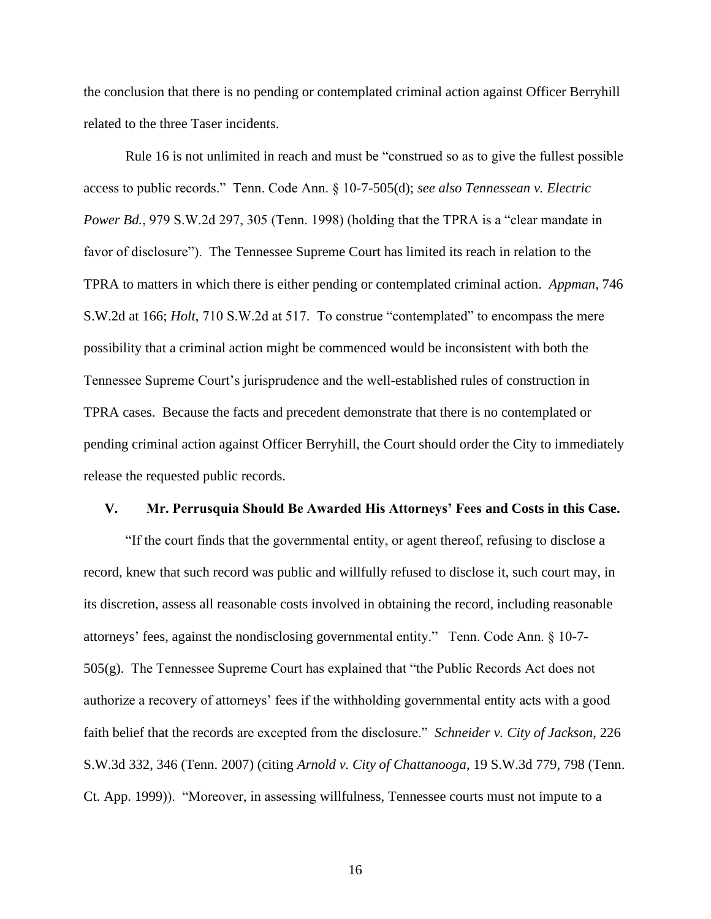the conclusion that there is no pending or contemplated criminal action against Officer Berryhill related to the three Taser incidents.

Rule 16 is not unlimited in reach and must be "construed so as to give the fullest possible access to public records." Tenn. Code Ann. § 10-7-505(d); *see also Tennessean v. Electric Power Bd.*, 979 S.W.2d 297, 305 (Tenn. 1998) (holding that the TPRA is a "clear mandate in favor of disclosure"). The Tennessee Supreme Court has limited its reach in relation to the TPRA to matters in which there is either pending or contemplated criminal action. *Appman*, 746 S.W.2d at 166; *Holt*, 710 S.W.2d at 517. To construe "contemplated" to encompass the mere possibility that a criminal action might be commenced would be inconsistent with both the Tennessee Supreme Court's jurisprudence and the well-established rules of construction in TPRA cases. Because the facts and precedent demonstrate that there is no contemplated or pending criminal action against Officer Berryhill, the Court should order the City to immediately release the requested public records.

#### **V. Mr. Perrusquia Should Be Awarded His Attorneys' Fees and Costs in this Case.**

"If the court finds that the governmental entity, or agent thereof, refusing to disclose a record, knew that such record was public and willfully refused to disclose it, such court may, in its discretion, assess all reasonable costs involved in obtaining the record, including reasonable attorneys' fees, against the nondisclosing governmental entity." Tenn. Code Ann. § 10-7- 505(g). The Tennessee Supreme Court has explained that "the Public Records Act does not authorize a recovery of attorneys' fees if the withholding governmental entity acts with a good faith belief that the records are excepted from the disclosure." *Schneider v. City of Jackson*, 226 S.W.3d 332, 346 (Tenn. 2007) (citing *Arnold v. City of Chattanooga*, 19 S.W.3d 779, 798 (Tenn. Ct. App. 1999)). "Moreover, in assessing willfulness, Tennessee courts must not impute to a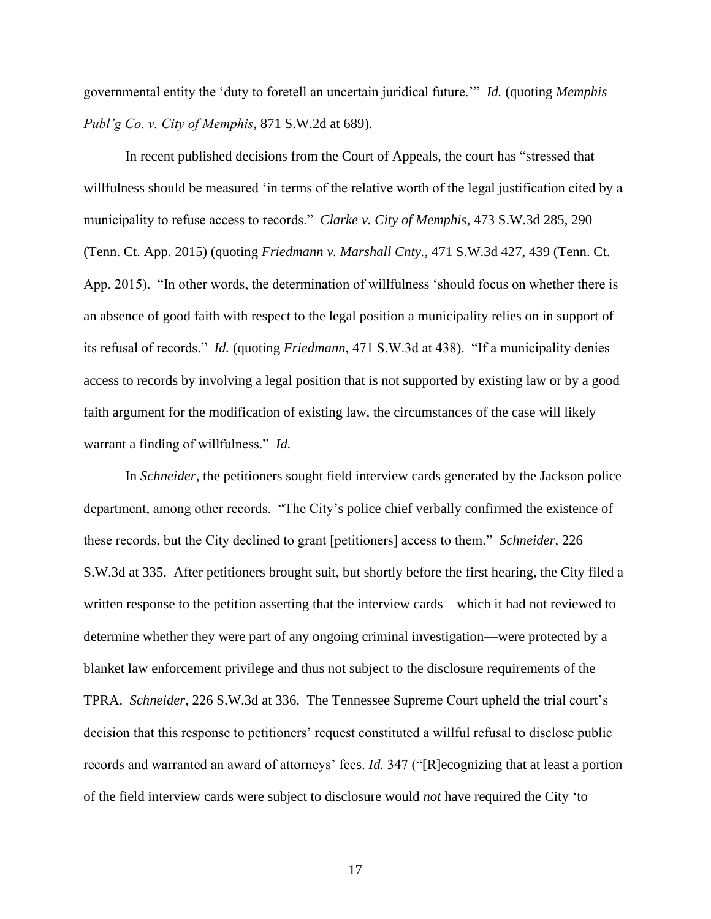governmental entity the 'duty to foretell an uncertain juridical future.'" *Id.* (quoting *Memphis Publ'g Co. v. City of Memphis*, 871 S.W.2d at 689).

In recent published decisions from the Court of Appeals, the court has "stressed that willfulness should be measured 'in terms of the relative worth of the legal justification cited by a municipality to refuse access to records." *Clarke v. City of Memphis*, 473 S.W.3d 285, 290 (Tenn. Ct. App. 2015) (quoting *Friedmann v. Marshall Cnty.*, 471 S.W.3d 427, 439 (Tenn. Ct. App. 2015). "In other words, the determination of willfulness 'should focus on whether there is an absence of good faith with respect to the legal position a municipality relies on in support of its refusal of records." *Id.* (quoting *Friedmann*, 471 S.W.3d at 438). "If a municipality denies access to records by involving a legal position that is not supported by existing law or by a good faith argument for the modification of existing law, the circumstances of the case will likely warrant a finding of willfulness." *Id.*

In *Schneider*, the petitioners sought field interview cards generated by the Jackson police department, among other records. "The City's police chief verbally confirmed the existence of these records, but the City declined to grant [petitioners] access to them." *Schneider*, 226 S.W.3d at 335. After petitioners brought suit, but shortly before the first hearing, the City filed a written response to the petition asserting that the interview cards—which it had not reviewed to determine whether they were part of any ongoing criminal investigation—were protected by a blanket law enforcement privilege and thus not subject to the disclosure requirements of the TPRA. *Schneider*, 226 S.W.3d at 336. The Tennessee Supreme Court upheld the trial court's decision that this response to petitioners' request constituted a willful refusal to disclose public records and warranted an award of attorneys' fees. *Id.* 347 ("[R]ecognizing that at least a portion of the field interview cards were subject to disclosure would *not* have required the City 'to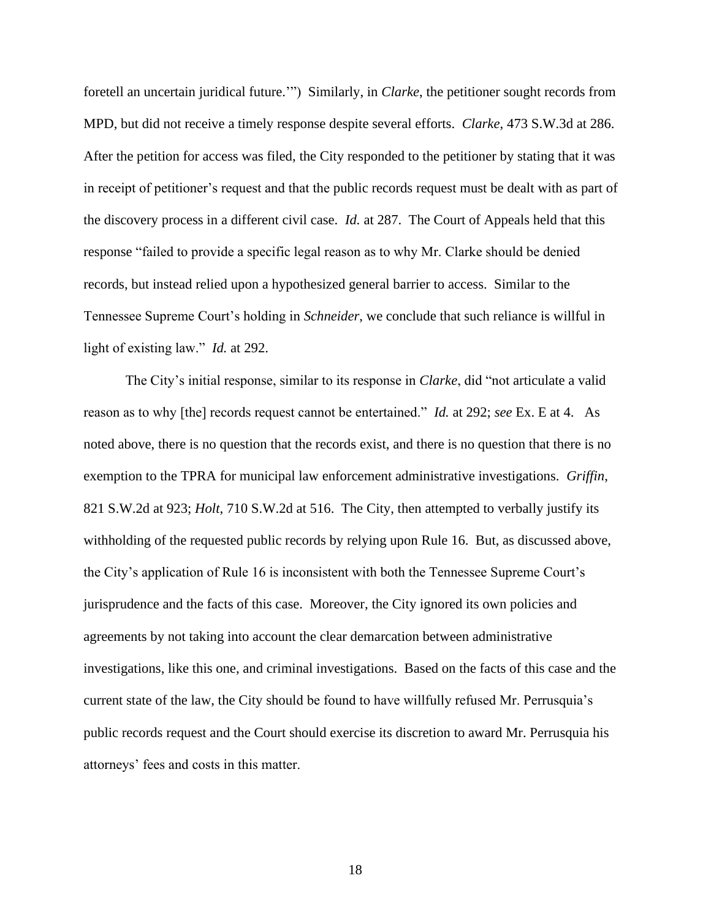foretell an uncertain juridical future.'") Similarly, in *Clarke*, the petitioner sought records from MPD, but did not receive a timely response despite several efforts. *Clarke*, 473 S.W.3d at 286. After the petition for access was filed, the City responded to the petitioner by stating that it was in receipt of petitioner's request and that the public records request must be dealt with as part of the discovery process in a different civil case. *Id.* at 287. The Court of Appeals held that this response "failed to provide a specific legal reason as to why Mr. Clarke should be denied records, but instead relied upon a hypothesized general barrier to access. Similar to the Tennessee Supreme Court's holding in *Schneider*, we conclude that such reliance is willful in light of existing law." *Id.* at 292.

The City's initial response, similar to its response in *Clarke*, did "not articulate a valid reason as to why [the] records request cannot be entertained." *Id.* at 292; *see* Ex. E at 4. As noted above, there is no question that the records exist, and there is no question that there is no exemption to the TPRA for municipal law enforcement administrative investigations. *Griffin*, 821 S.W.2d at 923; *Holt*, 710 S.W.2d at 516. The City, then attempted to verbally justify its withholding of the requested public records by relying upon Rule 16. But, as discussed above, the City's application of Rule 16 is inconsistent with both the Tennessee Supreme Court's jurisprudence and the facts of this case. Moreover, the City ignored its own policies and agreements by not taking into account the clear demarcation between administrative investigations, like this one, and criminal investigations. Based on the facts of this case and the current state of the law, the City should be found to have willfully refused Mr. Perrusquia's public records request and the Court should exercise its discretion to award Mr. Perrusquia his attorneys' fees and costs in this matter.